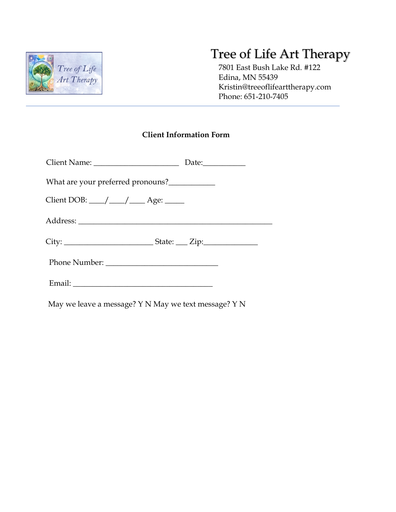

# Tree of Life Art Therapy

7801 East Bush Lake Rd. #122 Edina, MN 55439 [Kristin@treeoflifearttherapy.com](mailto:Kristin@treeoflifearttherapy.com) Phone: 651-210-7405

### **Client Information Form**

| Client Name: Date:                                                               |  |
|----------------------------------------------------------------------------------|--|
| What are your preferred pronouns?                                                |  |
| Client DOB: $\_\_\_\_\_\_\_\_\_\_\_\_\_\_\_\_\_\_\_\_\_\_\_\_\_\_\_\_\_\_\_\_\_$ |  |
|                                                                                  |  |
|                                                                                  |  |
|                                                                                  |  |
|                                                                                  |  |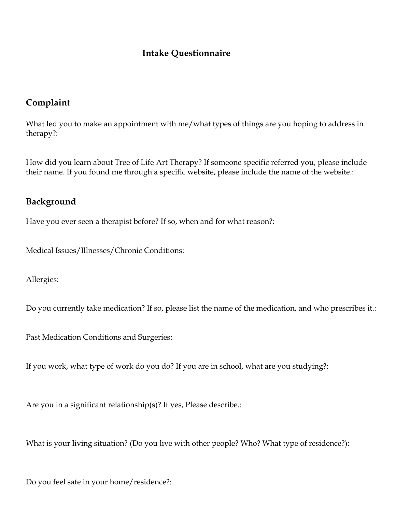### **Intake Questionnaire**

### **Complaint**

What led you to make an appointment with me/what types of things are you hoping to address in therapy?:

How did you learn about Tree of Life Art Therapy? If someone specific referred you, please include their name. If you found me through a specific website, please include the name of the website.:

### **Background**

Have you ever seen a therapist before? If so, when and for what reason?:

Medical Issues/Illnesses/Chronic Conditions:

Allergies:

Do you currently take medication? If so, please list the name of the medication, and who prescribes it.:

Past Medication Conditions and Surgeries:

If you work, what type of work do you do? If you are in school, what are you studying?:

Are you in a significant relationship(s)? If yes, Please describe.:

What is your living situation? (Do you live with other people? Who? What type of residence?):

Do you feel safe in your home/residence?: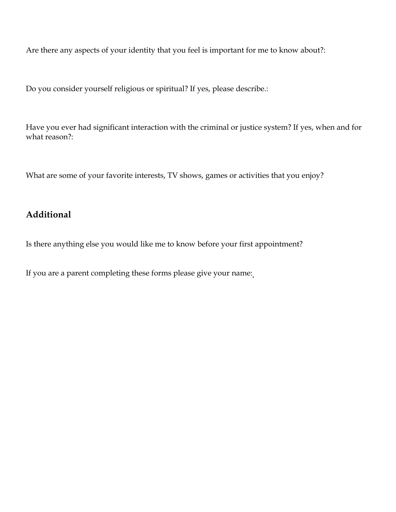Are there any aspects of your identity that you feel is important for me to know about?:

Do you consider yourself religious or spiritual? If yes, please describe.:

Have you ever had significant interaction with the criminal or justice system? If yes, when and for what reason?:

What are some of your favorite interests, TV shows, games or activities that you enjoy?

## **Additional**

Is there anything else you would like me to know before your first appointment?

If you are a parent completing these forms please give your name: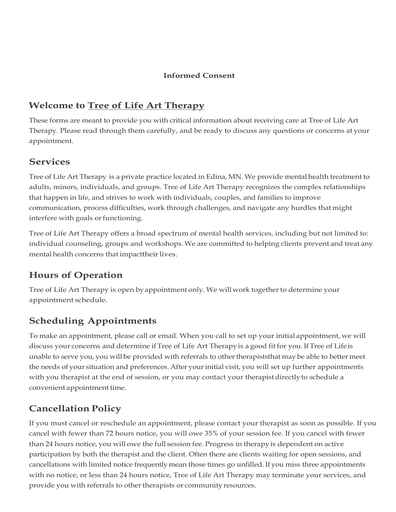#### **Informed Consent**

## **Welcome to Tree of Life Art Therapy**

These forms are meant to provide you with critical information about receiving care at Tree of Life Art Therapy. Please read through them carefully, and be ready to discuss any questions or concerns at your appointment.

### **Services**

Tree of Life Art Therapy is a private practice located in Edina, MN. We provide mental health treatment to adults, minors, individuals, and groups. Tree of Life Art Therapy recognizes the complex relationships that happen in life, and strives to work with individuals, couples, and families to improve communication, process difficulties, work through challenges, and navigate any hurdles that might interfere with goals or functioning.

Tree of Life Art Therapy offers a broad spectrum of mental health services, including but not limited to: individual counseling, groups and workshops. We are committed to helping clients prevent and treat any mental health concerns that impact their lives.

## **Hours of Operation**

Tree of Life Art Therapy is open by appointment only. We will work together to determine your appointment schedule.

## **Scheduling Appointments**

To make an appointment, please call or email. When you call to set up your initial appointment, we will discuss your concerns and determine ifTree of Life Art Therapyis a good fit for you. IfTree of Lifeis unable to serve you, you will be provided with referrals to othertherapiststhat maybe able to better meet the needs of your situation and preferences. After yourinitial visit, you will set up further appointments with you therapist at the end of session, or you may contact your therapist directlyto schedule a convenient appointment time.

## **Cancellation Policy**

If you must cancel or reschedule an appointment, please contact your therapist as soon as possible. If you cancel with fewer than 72 hours notice, you will owe 35% of your session fee. If you cancel with fewer than 24 hours notice, you will owe the full session fee. Progress in therapyis dependent on active participation by both the therapist and the client. Often there are clients waiting for open sessions, and cancellations with limited notice frequentlymean those times go unfilled. If you miss three appointments with no notice, or less than 24 hours notice, Tree of Life Art Therapy may terminate your services, and provide you with referrals to other therapists or communityresources.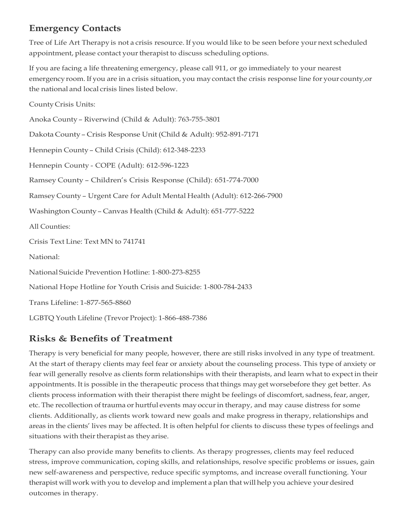## **Emergency Contacts**

Tree of Life Art Therapy is not a crisis resource. If you would like to be seen before your next scheduled appointment, please contact your therapist to discuss scheduling options.

If you are facing a life threatening emergency, please call 911, or go immediately to your nearest emergencyroom. If you are in a crisis situation, you maycontact the crisis response line for your county,or the national and local crisis lines listed below.

CountyCrisis Units: Anoka County – Riverwind (Child & Adult): 763-755-3801 Dakota County – Crisis Response Unit (Child & Adult): 952-891-7171 Hennepin County – Child Crisis (Child): 612-348-2233 Hennepin County - COPE (Adult): 612-596-1223 Ramsey County – Children's Crisis Response (Child): 651-774-7000 Ramsey County – Urgent Care for Adult Mental Health (Adult): 612-266-7900 Washington County – Canvas Health (Child & Adult): 651-777-5222 All Counties: Crisis Text Line: Text MN to 741741 National: National Suicide Prevention Hotline: 1-800-273-8255 National Hope Hotline for Youth Crisis and Suicide: 1-800-784-2433 Trans Lifeline: 1-877-565-8860 LGBTQ Youth Lifeline (Trevor Project): 1-866-488-7386

## **Risks & Benefits of Treatment**

Therapy is very beneficial for many people, however, there are still risks involved in any type of treatment. At the start of therapy clients may feel fear or anxiety about the counseling process. This type of anxiety or fear will generally resolve as clients form relationships with their therapists, and learn what to expect in their appointments. It is possible in the therapeutic process that things mayget worsebefore they get better. As clients process information with their therapist there might be feelings of discomfort, sadness, fear, anger, etc. The recollection of trauma or hurtful events may occur in therapy, and may cause distress for some clients. Additionally, as clients work toward new goals and make progress in therapy, relationships and areas in the clients' lives may be affected. It is often helpful for clients to discuss these types of feelings and situations with their therapist as they arise.

Therapy can also provide many benefits to clients. As therapy progresses, clients may feel reduced stress, improve communication, coping skills, and relationships, resolve specific problems or issues, gain new self-awareness and perspective, reduce specific symptoms, and increase overall functioning. Your therapist will work with you to develop and implement a plan that will help you achieve your desired outcomes in therapy.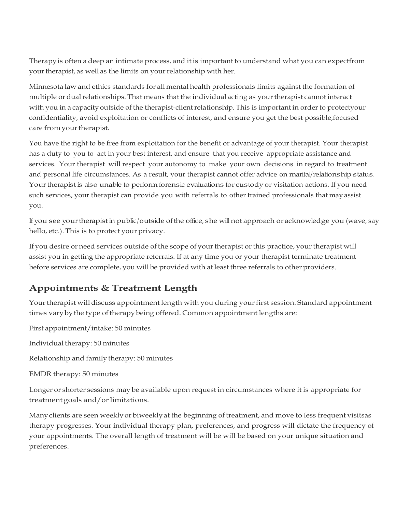Therapyis often a deep an intimate process, and it is important to understand what you can expectfrom your therapist, as well as the limits on your relationship with her.

Minnesota law and ethics standards for all mental health professionals limits against the formation of multiple or dual relationships. That means that the individual acting as your therapist cannot interact with you in a capacity outside of the therapist-client relationship. This is important in order to protectyour confidentiality, avoid exploitation or conflicts of interest, and ensure you get the best possible,focused care from your therapist.

You have the right to be free from exploitation for the benefit or advantage of your therapist. Your therapist has a duty to you to act in your best interest, and ensure that you receive appropriate assistance and services. Your therapist will respect your autonomy to make your own decisions in regard to treatment and personal life circumstances. As a result, your therapist cannot offer advice on marital/relationship status. Yourtherapist is also unable to perform forensic evaluations for custodyor visitation actions. If you need such services, your therapist can provide you with referrals to other trained professionals that may assist you.

If you see your therapist in public/outside of the office, she will not approach or acknowledge you (wave, say hello, etc.). This is to protect your privacy.

If you desire or need services outside of the scope of your therapist or this practice, your therapist will assist you in getting the appropriate referrals. If at any time you or your therapist terminate treatment before services are complete, you will be provided with at least three referrals to other providers.

## **Appointments & Treatment Length**

Your therapist will discuss appointment length with you during your first session. Standard appointment times vary by the type of therapy being offered. Common appointment lengths are:

First appointment/intake: 50 minutes

Individual therapy: 50 minutes

Relationship and family therapy: 50 minutes

EMDR therapy: 50 minutes

Longer or shorter sessions may be available upon request in circumstances where it is appropriate for treatment goals and/or limitations.

Many clients are seen weekly or biweekly at the beginning of treatment, and move to less frequent visitsas therapy progresses. Your individual therapy plan, preferences, and progress will dictate the frequency of your appointments. The overall length of treatment will be will be based on your unique situation and preferences.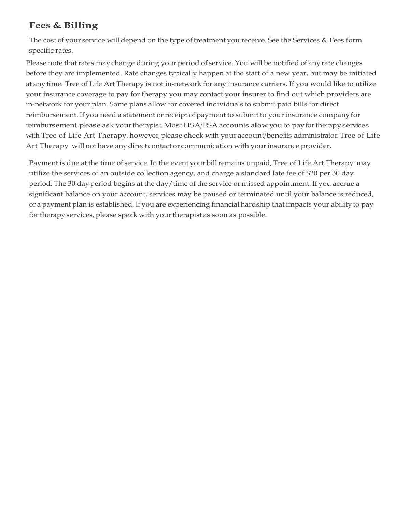## **Fees & Billing**

The cost of your service will depend on the type of treatment you receive. See the Services & Fees form specific rates.

Please note that rates may change during your period of service. You will be notified of any rate changes before they are implemented. Rate changes typically happen at the start of a new year, but may be initiated at anytime. Tree of Life Art Therapy is not in-network for any insurance carriers. If you would like to utilize your insurance coverage to pay for therapy you may contact your insurer to find out which providers are in- network for your plan. Some plans allow for covered individuals to submit paid bills for direct reimbursement. If you need a statement or receipt of payment to submit to your insurance company for reimbursement, please ask your therapist. Most HSA/FSA accounts allow you to pay for therapy services with Tree of Life Art Therapy, however, please check with your account/benefits administrator. Tree of Life Art Therapy will not have anydirect contact or communication with your insurance provider.

Payment is due at the time of service. In the event your bill remains unpaid, Tree of Life Art Therapy may utilize the services of an outside collection agency, and charge a standard late fee of \$20 per 30 day period. The 30 day period begins at the day/time of the service or missed appointment. If you accrue a significant balance on your account, services may be paused or terminated until your balance is reduced, or a payment plan is established. If you are experiencing financial hardship that impacts your abilityto pay for therapy services, please speak with your therapist as soon as possible.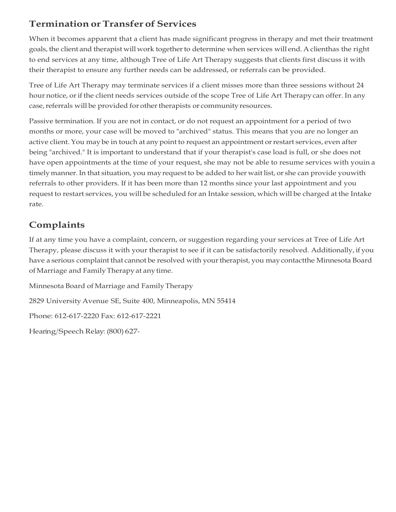## **Termination or Transfer of Services**

When it becomes apparent that a client has made significant progress in therapy and met their treatment goals, the client and therapist will work together to determine when services will end. A clienthas the right to end services at any time, although Tree of Life Art Therapy suggests that clients first discuss it with their therapist to ensure any further needs can be addressed, or referrals can be provided.

Tree of Life Art Therapy may terminate services if a client misses more than three sessions without 24 hour notice, or if the client needs services outside of the scope Tree of Life Art Therapy can offer. In any case, referrals will be provided for other therapists or community resources.

Passive termination. If you are not in contact, or do not request an appointment for a period of two months or more, your case will be moved to "archived" status. This means that you are no longer an active client. You may be in touch at any point to request an appointment or restart services, even after being "archived." It is important to understand that if your therapist's case load is full, or she does not have open appointments at the time of your request, she may not be able to resume services with youin a timelymanner. In that situation, you mayrequest to be added to her wait list, or she can provide youwith referrals to other providers. If it has been more than 12 months since your last appointment and you request to restart services, you will be scheduled for an Intake session, which will be charged at the Intake rate.

## **Complaints**

If at any time you have a complaint, concern, or suggestion regarding your services at Tree of Life Art Therapy, please discuss it with your therapist to see if it can be satisfactorily resolved. Additionally, if you have a serious complaint that cannot be resolved with your therapist, you may contactthe Minnesota Board ofMarriage and FamilyTherapyat anytime.

Minnesota Board of Marriage and FamilyTherapy

2829 University Avenue SE, Suite 400, Minneapolis, MN 55414

Phone: 612-617-2220 Fax: 612-617-2221

Hearing/Speech Relay: (800) 627-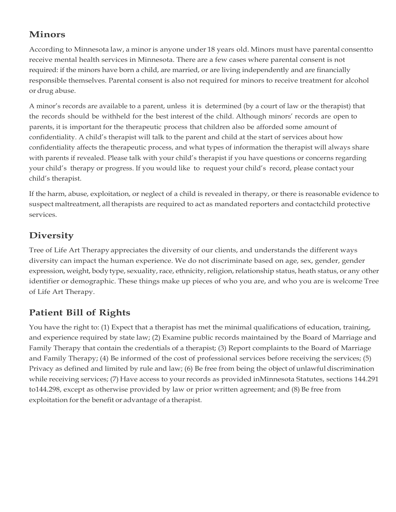## **Minors**

According to Minnesota law, a minor is anyone under 18 years old. Minors must have parental consentto receive mental health services in Minnesota. There are a few cases where parental consent is not required: if the minors have born a child, are married, or are living independently and are financially responsible themselves. Parental consent is also not required for minors to receive treatment for alcohol or drug abuse.

A minor's records are available to a parent, unless it is determined (by a court of law or the therapist) that the records should be withheld for the best interest of the child. Although minors' records are open to parents, it is important for the therapeutic process that children also be afforded some amount of confidentiality. A child's therapist will talk to the parent and child at the start of services about how confidentiality affects the therapeutic process, and what types of information the therapist will always share with parents if revealed. Please talk with your child's therapist if you have questions or concerns regarding your child's therapy or progress. If you would like to request your child's record, please contact your child's therapist.

If the harm, abuse, exploitation, or neglect of a child is revealed in therapy, or there is reasonable evidence to suspect maltreatment, all therapists are required to act as mandated reporters and contactchild protective services.

## **Diversity**

Tree of Life Art Therapy appreciates the diversity of our clients, and understands the different ways diversity can impact the human experience. We do not discriminate based on age, sex, gender, gender expression, weight, body type, sexuality, race, ethnicity, religion, relationship status, heath status, or any other identifier or demographic. These things make up pieces of who you are, and who you are is welcome Tree of Life Art Therapy.

## **Patient Bill of Rights**

You have the right to: (1) Expect that a therapist has met the minimal qualifications of education, training, and experience required by state law; (2) Examine public records maintained by the Board of Marriage and Family Therapy that contain the credentials of a therapist; (3) Report complaints to the Board of Marriage and Family Therapy; (4) Be informed of the cost of professional services before receiving the services; (5) Privacy as defined and limited by rule and law; (6) Be free from being the object of unlawful discrimination while receiving services; (7) Have access to your records as provided inMinnesota Statutes, sections 144.291 to144.298, except as otherwise provided by law or prior written agreement; and (8) Be free from exploitation for the benefit or advantage of a therapist.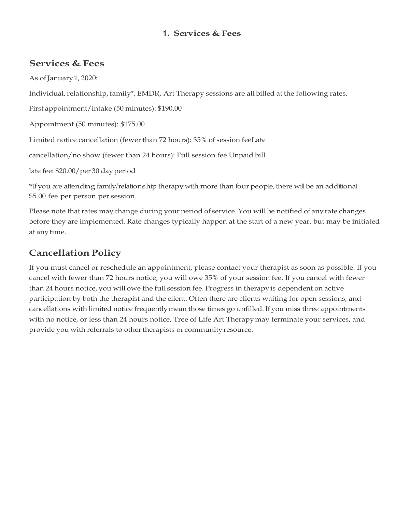#### **1. Services & Fees**

### **Services & Fees**

As of January 1, 2020: Individual, relationship, family\*, EMDR, Art Therapy sessions are all billed at the following rates. First appointment/intake (50 minutes): \$190.00 Appointment (50 minutes): \$175.00 Limited notice cancellation (fewer than 72 hours): 35% of session feeLate cancellation/no show (fewer than 24 hours): Full session fee Unpaid bill late fee: \$20.00/per 30 day period \*If you are attending family/relationship therapywith more than four people, there will be an additional \$5.00 fee per person per session.

#### Please note that rates may change during your period of service. You will be notified of any rate changes before they are implemented. Rate changes typically happen at the start of a new year, but may be initiated at anytime.

## **Cancellation Policy**

If you must cancel or reschedule an appointment, please contact your therapist as soon as possible. If you cancel with fewer than 72 hours notice, you will owe 35% of your session fee. If you cancel with fewer than 24 hours notice, you will owe the full session fee. Progress in therapyis dependent on active participation by both the therapist and the client. Often there are clients waiting for open sessions, and cancellations with limited notice frequentlymean those times go unfilled. If you miss three appointments with no notice, or less than 24 hours notice, Tree of Life Art Therapymay terminate your services, and provide you with referrals to other therapists or communityresource.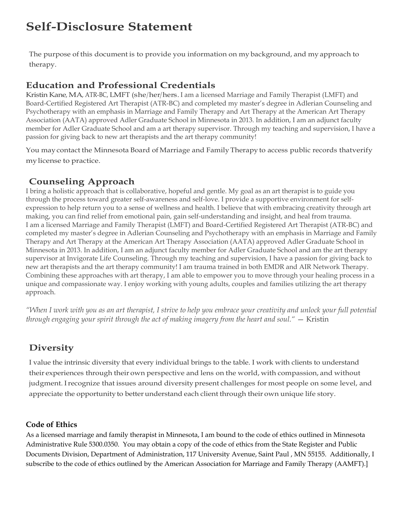# **Self-Disclosure Statement**

The purpose of this document is to provide you information on my background, and my approach to therapy.

## **Education and Professional Credentials**

Kristin Kane, MA, ATR-BC, LMFT (she/her/hers. I am a licensed Marriage and Family Therapist (LMFT) and Board-Certified Registered Art Therapist (ATR-BC) and completed my master's degree in Adlerian Counseling and Psychotherapy with an emphasis in Marriage and Family Therapy and Art Therapy at the American Art Therapy Association (AATA) approved Adler Graduate School in Minnesota in 2013. In addition, I am an adjunct faculty member for Adler Graduate School and am a art therapy supervisor. Through my teaching and supervision, I have a passion for giving back to new art therapists and the art therapy community!

You may contact the Minnesota Board of Marriage and FamilyTherapy to access public records thatverify mylicense to practice.

## **Counseling Approach**

I bring a holistic approach that is collaborative, hopeful and gentle. My goal as an art therapist is to guide you through the process toward greater self-awareness and self-love. I provide a supportive environment for selfexpression to help return you to a sense of wellness and health. I believe that with embracing creativity through art making, you can find relief from emotional pain, gain self-understanding and insight, and heal from trauma. I am a licensed Marriage and Family Therapist (LMFT) and Board-Certified Registered Art Therapist (ATR-BC) and completed my master's degree in Adlerian Counseling and Psychotherapy with an emphasis in Marriage and Family Therapy and Art Therapy at the American Art Therapy Association (AATA) approved Adler Graduate School in Minnesota in 2013. In addition, I am an adjunct faculty member for Adler Graduate School and am the art therapy supervisor at Invigorate Life Counseling. Through my teaching and supervision, I have a passion for giving back to new art therapists and the art therapy community! I am trauma trained in both EMDR and AIR Network Therapy. Combining these approaches with art therapy, I am able to empower you to move through your healing process in a unique and compassionate way. I enjoy working with young adults, couples and families utilizing the art therapy approach.

*"When I work with you as an art therapist, I strive to help you embrace your creativity and unlock your full potential through engaging your spirit through the act of making imagery from the heart and soul."* — Kristin

## **Diversity**

I value the intrinsic diversity that every individual brings to the table. I work with clients to understand their experiences through their own perspective and lens on the world, with compassion, and without judgment. I recognize that issues around diversity present challenges for most people on some level, and appreciate the opportunity to better understand each client through their own unique life story.

### **Code of Ethics**

As a licensed marriage and family therapist in Minnesota, I am bound to the code of ethics outlined in Minnesota Administrative Rule 5300.0350. You may obtain a copy of the code of ethics from the State Register and Public Documents Division, Department of Administration, 117 University Avenue, Saint Paul , MN 55155. Additionally, I subscribe to the code of ethics outlined by the American Association for Marriage and Family Therapy (AAMFT).]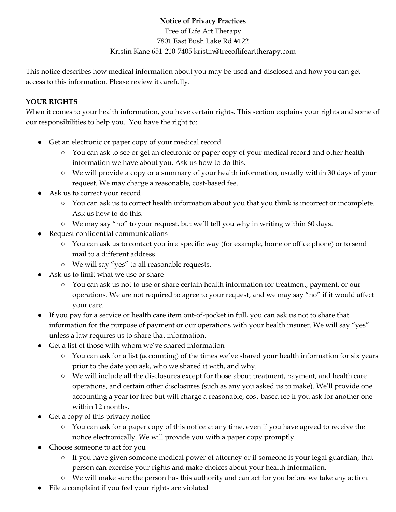## **Notice of Privacy Practices** Tree of Life Art Therapy

7801 East Bush Lake Rd #122

#### Kristin Kane 651-210-7405 kristin@treeoflifearttherapy.com

This notice describes how medical information about you may be used and disclosed and how you can get access to this information. Please review it carefully.

#### **YOUR RIGHTS**

When it comes to your health information, you have certain rights. This section explains your rights and some of our responsibilities to help you. You have the right to:

- Get an electronic or paper copy of your medical record
	- You can ask to see or get an electronic or paper copy of your medical record and other health information we have about you. Ask us how to do this.
	- We will provide a copy or a summary of your health information, usually within 30 days of your request. We may charge a reasonable, cost-based fee.
- Ask us to correct your record
	- You can ask us to correct health information about you that you think is incorrect or incomplete. Ask us how to do this.
	- We may say "no" to your request, but we'll tell you why in writing within 60 days.
- Request confidential communications
	- You can ask us to contact you in a specific way (for example, home or office phone) or to send mail to a different address.
	- We will say "yes" to all reasonable requests.
- Ask us to limit what we use or share
	- You can ask us not to use or share certain health information for treatment, payment, or our operations. We are not required to agree to your request, and we may say "no" if it would affect your care.
- If you pay for a service or health care item out-of-pocket in full, you can ask us not to share that information for the purpose of payment or our operations with your health insurer. We will say "yes" unless a law requires us to share that information.
- Get a list of those with whom we've shared information
	- You can ask for a list (accounting) of the times we've shared your health information for six years prior to the date you ask, who we shared it with, and why.
	- We will include all the disclosures except for those about treatment, payment, and health care operations, and certain other disclosures (such as any you asked us to make). We'll provide one accounting a year for free but will charge a reasonable, cost-based fee if you ask for another one within 12 months.
- Get a copy of this privacy notice
	- You can ask for a paper copy of this notice at any time, even if you have agreed to receive the notice electronically. We will provide you with a paper copy promptly.
- Choose someone to act for you
	- If you have given someone medical power of attorney or if someone is your legal guardian, that person can exercise your rights and make choices about your health information.
	- We will make sure the person has this authority and can act for you before we take any action.
- File a complaint if you feel your rights are violated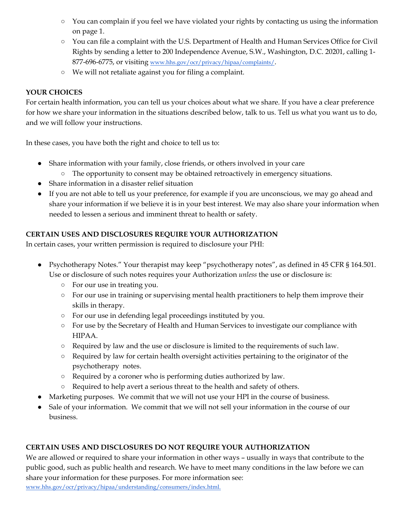- $\circ$  You can complain if you feel we have violated your rights by contacting us using the information on page 1.
- You can file a complaint with the U.S. Department of Health and Human Services Office for Civil Rights by sending a letter to 200 Independence Avenue, S.W., Washington, D.C. 20201, calling 1 877-696-6775, or visiting [www.hhs.gov/ocr/privacy/hipaa/complaints/.](http://www.hhs.gov/ocr/privacy/hipaa/complaints/)
- We will not retaliate against you for filing a complaint.

#### **YOUR CHOICES**

For certain health information, you can tell us your choices about what we share. If you have a clear preference for how we share your information in the situations described below, talk to us. Tell us what you want us to do, and we will follow your instructions.

In these cases, you have both the right and choice to tell us to:

- Share information with your family, close friends, or others involved in your care
	- The opportunity to consent may be obtained retroactively in emergency situations.
- Share information in a disaster relief situation
- If you are not able to tell us your preference, for example if you are unconscious, we may go ahead and share your information if we believe it is in your best interest. We may also share your information when needed to lessen a serious and imminent threat to health or safety.

### **CERTAIN USES AND DISCLOSURES REQUIRE YOUR AUTHORIZATION**

In certain cases, your written permission is required to disclosure your PHI:

- Psychotherapy Notes." Your therapist may keep "psychotherapy notes", as defined in 45 CFR § 164.501. Use or disclosure of such notes requires your Authorization *unless* the use or disclosure is:
	- For our use in treating you.
	- For our use in training or supervising mental health practitioners to help them improve their skills in therapy.
	- For our use in defending legal proceedings instituted by you.
	- For use by the Secretary of Health and Human Services to investigate our compliance with HIPAA.
	- Required by law and the use or disclosure is limited to the requirements of such law.
	- Required by law for certain health oversight activities pertaining to the originator of the psychotherapy notes.
	- Required by a coroner who is performing duties authorized by law.
	- Required to help avert a serious threat to the health and safety of others.
- Marketing purposes. We commit that we will not use your HPI in the course of business.
- Sale of your information. We commit that we will not sell your information in the course of our business.

### **CERTAIN USES AND DISCLOSURES DO NOT REQUIRE YOUR AUTHORIZATION**

We are allowed or required to share your information in other ways – usually in ways that contribute to the public good, such as public health and research. We have to meet many conditions in the law before we can share your information for these purposes. For more information see:

[www.hhs.gov/ocr/privacy/hipaa/understanding/consumers/index.html.](http://www.hhs.gov/ocr/privacy/hipaa/understanding/consumers/index.html.)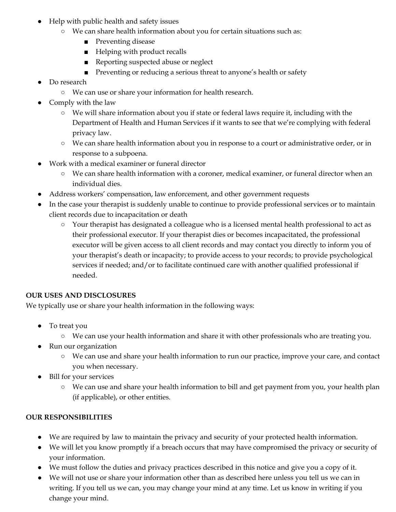- Help with public health and safety issues
	- We can share health information about you for certain situations such as:
		- Preventing disease
		- Helping with product recalls
		- Reporting suspected abuse or neglect
		- Preventing or reducing a serious threat to anyone's health or safety
- Do research
	- We can use or share your information for health research.
- Comply with the law
	- We will share information about you if state or federal laws require it, including with the Department of Health and Human Services if it wants to see that we're complying with federal privacy law.
	- We can share health information about you in response to a court or administrative order, or in response to a subpoena.
- Work with a medical examiner or funeral director
	- We can share health information with a coroner, medical examiner, or funeral director when an individual dies.
- Address workers' compensation, law enforcement, and other government requests
- In the case your therapist is suddenly unable to continue to provide professional services or to maintain client records due to incapacitation or death
	- Your therapist has designated a colleague who is a licensed mental health professional to act as their professional executor. If your therapist dies or becomes incapacitated, the professional executor will be given access to all client records and may contact you directly to inform you of your therapist's death or incapacity; to provide access to your records; to provide psychological services if needed; and/or to facilitate continued care with another qualified professional if needed.

### **OUR USES AND DISCLOSURES**

We typically use or share your health information in the following ways:

- To treat you
	- We can use your health information and share it with other professionals who are treating you.
- Run our organization
	- We can use and share your health information to run our practice, improve your care, and contact you when necessary.
- **Bill for your services** 
	- We can use and share your health information to bill and get payment from you, your health plan (if applicable), or other entities.

### **OUR RESPONSIBILITIES**

- We are required by law to maintain the privacy and security of your protected health information.
- We will let you know promptly if a breach occurs that may have compromised the privacy or security of your information.
- We must follow the duties and privacy practices described in this notice and give you a copy of it.
- We will not use or share your information other than as described here unless you tell us we can in writing. If you tell us we can, you may change your mind at any time. Let us know in writing if you change your mind.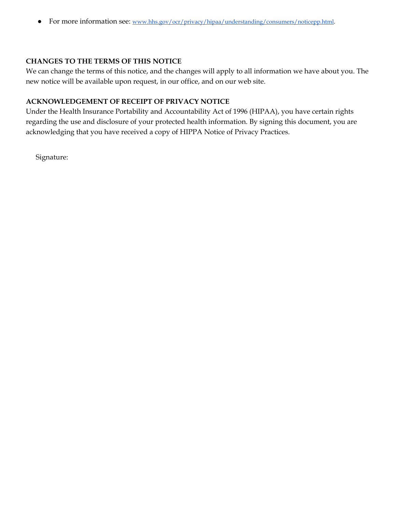• For more information see: [www.hhs.gov/ocr/privacy/hipaa/understanding/consumers/noticepp.html.](http://www.hhs.gov/ocr/privacy/hipaa/understanding/consumers/noticepp.html)

#### **CHANGES TO THE TERMS OF THIS NOTICE**

We can change the terms of this notice, and the changes will apply to all information we have about you. The new notice will be available upon request, in our office, and on our web site.

#### **ACKNOWLEDGEMENT OF RECEIPT OF PRIVACY NOTICE**

Under the Health Insurance Portability and Accountability Act of 1996 (HIPAA), you have certain rights regarding the use and disclosure of your protected health information. By signing this document, you are acknowledging that you have received a copy of HIPPA Notice of Privacy Practices.

Signature: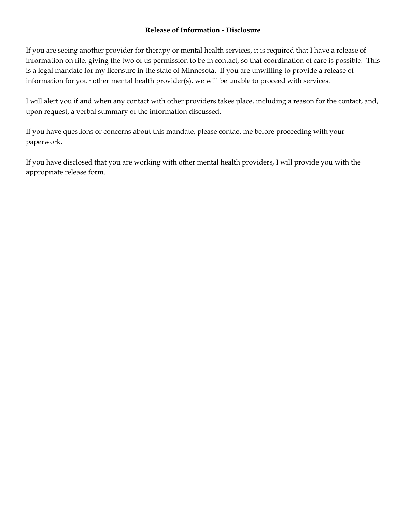#### **Release of Information - Disclosure**

If you are seeing another provider for therapy or mental health services, it is required that I have a release of information on file, giving the two of us permission to be in contact, so that coordination of care is possible. This is a legal mandate for my licensure in the state of Minnesota. If you are unwilling to provide a release of information for your other mental health provider(s), we will be unable to proceed with services.

I will alert you if and when any contact with other providers takes place, including a reason for the contact, and, upon request, a verbal summary of the information discussed.

If you have questions or concerns about this mandate, please contact me before proceeding with your paperwork.

If you have disclosed that you are working with other mental health providers, I will provide you with the appropriate release form.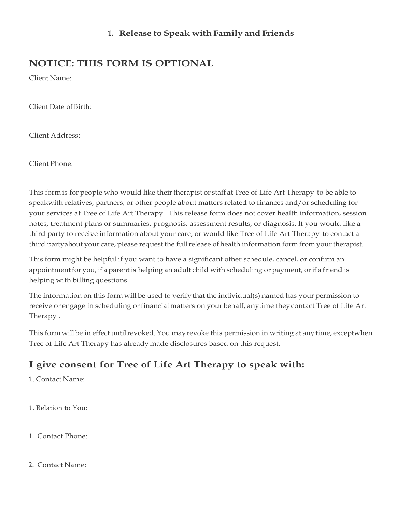#### **1. Release to Speak with Family and Friends**

## **NOTICE: THIS FORM IS OPTIONAL**

Client Name:

Client Date of Birth:

Client Address:

Client Phone:

This form is for people who would like their therapist or staff at Tree of Life Art Therapy to be able to speakwith relatives, partners, or other people about matters related to finances and/or scheduling for your services at Tree of Life Art Therapy.. This release form does not cover health information, session notes, treatment plans or summaries, prognosis, assessment results, or diagnosis. If you would like a third party to receive information about your care, or would like Tree of Life Art Therapy to contact a third partyabout your care, please request the full release of health information form from your therapist.

This form might be helpful if you want to have a significant other schedule, cancel, or confirm an appointment for you, if a parent is helping an adult child with scheduling or payment, or if a friend is helping with billing questions.

The information on this form will be used to verifythat the individual(s) named has your permission to receive or engage in scheduling or financial matters on your behalf, anytime theycontact Tree of Life Art Therapy .

This form will be in effect until revoked. You may revoke this permission in writing at any time, exceptwhen Tree of Life Art Therapy has alreadymade disclosures based on this request.

## **I give consent for Tree of Life Art Therapy to speak with:**

- 1. Contact Name:
- 1. Relation to You:
- 1. Contact Phone:
- 2. Contact Name: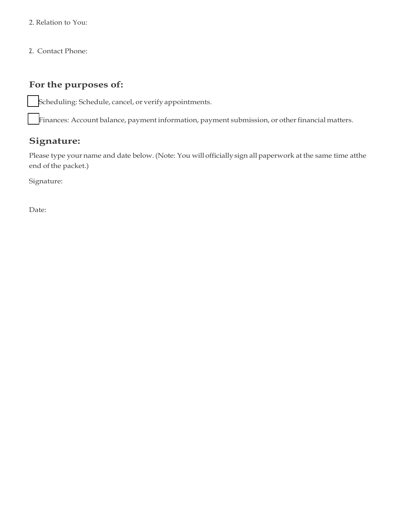2. Relation to You:

2. Contact Phone:

### **For the purposes of:**

Scheduling: Schedule, cancel, or verify appointments.

Finances: Account balance, payment information, payment submission, or other financial matters.

### **Signature:**

Please type your name and date below. (Note: You will officially sign all paperwork at the same time atthe end of the packet.)

Signature:

Date: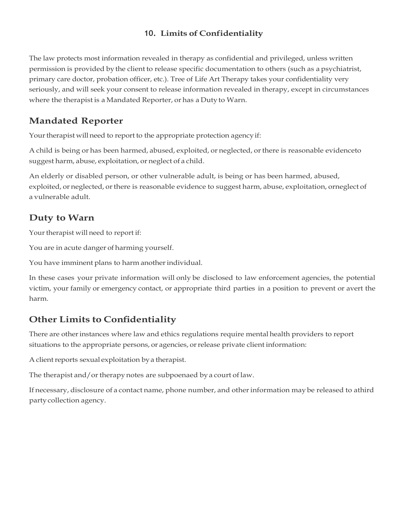### **10. Limits of Confidentiality**

The law protects most information revealed in therapy as confidential and privileged, unless written permission is provided bythe client to release specific documentation to others (such as a psychiatrist, primary care doctor, probation officer, etc.). Tree of Life Art Therapy takes your confidentiality very seriously, and will seek your consent to release information revealed in therapy, except in circumstances where the therapist is a Mandated Reporter, or has a Duty to Warn.

## **Mandated Reporter**

Your therapist will need to report to the appropriate protection agency if:

A child is being or has been harmed, abused, exploited, or neglected, orthere is reasonable evidenceto suggest harm, abuse, exploitation, or neglect of a child.

An elderly or disabled person, or other vulnerable adult, is being or has been harmed, abused, exploited, or neglected, or there is reasonable evidence to suggest harm, abuse, exploitation, orneglect of a vulnerable adult.

## **Duty to Warn**

Your therapist will need to report if:

You are in acute danger of harming yourself.

You have imminent plans to harm another individual.

In these cases your private information will only be disclosed to law enforcement agencies, the potential victim, your family or emergency contact, or appropriate third parties in a position to prevent or avert the harm.

## **Other Limits to Confidentiality**

There are other instances where law and ethics regulations require mental health providers to report situations to the appropriate persons, or agencies, or release private client information:

A client reports sexual exploitation by a therapist.

The therapist and/or therapy notes are subpoenaed by a court of law.

If necessary, disclosure of a contact name, phone number, and otherinformation maybe released to athird partycollection agency.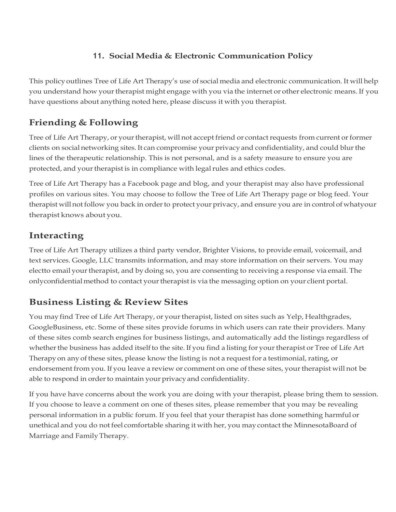### **11. Social Media & Electronic Communication Policy**

This policy outlines Tree of Life Art Therapy's use of social media and electronic communication. It will help you understand how your therapist might engage with you via the internet or other electronic means. If you have questions about anything noted here, please discuss it with you therapist.

## **Friending & Following**

Tree of Life Art Therapy, or your therapist, will not accept friend or contactrequests from current orformer clients on social networking sites.It can compromise your privacyand confidentiality, and could blurthe lines of the therapeutic relationship. This is not personal, and is a safety measure to ensure you are protected, and your therapist is in compliance with legal rules and ethics codes.

Tree of Life Art Therapy has a Facebook page and blog, and your therapist may also have professional profiles on various sites. You may choose to follow the Tree of Life Art Therapy page or blog feed. Your therapist will not follow you back in order to protect your privacy, and ensure you are in control of whatyour therapist knows about you.

## **Interacting**

Tree of Life Art Therapy utilizes a third party vendor, Brighter Visions, to provide email, voicemail, and text services. Google, LLC transmits information, and may store information on their servers. You may electto email your therapist, and by doing so, you are consenting to receiving a response via email. The only confidentialmethod to contact your therapist is via the messaging option on your client portal.

## **Business Listing & Review Sites**

You may find Tree of Life Art Therapy, or your therapist, listed on sites such as Yelp, Healthgrades, GoogleBusiness, etc. Some of these sites provide forums in which users can rate their providers. Many of these sites comb search engines for business listings, and automatically add the listings regardless of whether the business has added itself to the site. If you find a listing for your therapist or Tree of Life Art Therapy on any of these sites, please know the listing is not a request for a testimonial, rating, or endorsement from you. If you leave a review or comment on one of these sites, your therapist will not be able to respond in order to maintain your privacy and confidentiality.

If you have have concerns about the work you are doing with your therapist, please bring them to session. If you choose to leave a comment on one of theses sites, please remember that you may be revealing personal information in a public forum. If you feel that your therapist has done something harmful or unethical and you do not feel comfortable sharing it with her, you maycontact the MinnesotaBoard of Marriage and FamilyTherapy.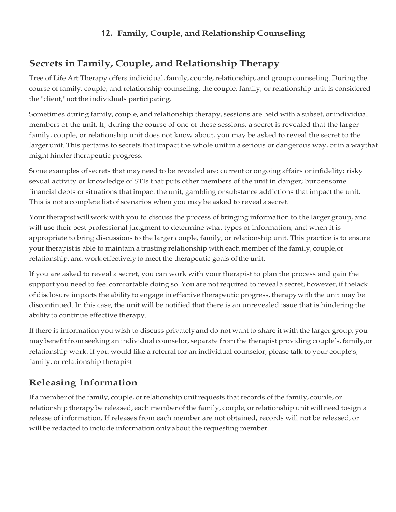### **12. Family, Couple, and Relationship Counseling**

## **Secrets in Family, Couple, and Relationship Therapy**

Tree of Life Art Therapy offers individual, family, couple, relationship, and group counseling. During the course of family, couple, and relationship counseling, the couple, family, or relationship unit is considered the "client,"not the individuals participating.

Sometimes during family, couple, and relationship therapy, sessions are held with a subset, orindividual members of the unit. If, during the course of one of these sessions, a secret is revealed that the larger family, couple, or relationship unit does not know about, you may be asked to reveal the secret to the larger unit. This pertains to secrets that impact the whole unit in a serious or dangerous way, orin a waythat might hinder therapeutic progress.

Some examples of secrets that may need to be revealed are: current or ongoing affairs or infidelity; risky sexual activity or knowledge of STIs that puts other members of the unit in danger; burdensome financialdebts or situations that impact the unit; gambling or substance addictions that impact the unit. This is not a complete list of scenarios when you maybe asked to reveal a secret.

Yourtherapist will work with you to discuss the process of bringing information to the larger group, and will use their best professional judgment to determine what types of information, and when it is appropriate to bring discussions to the larger couple, family, or relationship unit. This practice is to ensure yourtherapist is able to maintain a trusting relationship with each member ofthe family, couple,or relationship, and work effectively to meet the therapeutic goals of the unit.

If you are asked to reveal a secret, you can work with your therapist to plan the process and gain the support you need to feel comfortable doing so. You are not required to reveal a secret, however, if thelack of disclosure impacts the ability to engage in effective therapeutic progress, therapy with the unit may be discontinued. In this case, the unit will be notified that there is an unrevealed issue that is hindering the ability to continue effective therapy.

Ifthere is information you wish to discuss privatelyand do not want to share it with the larger group, you maybenefit from seeking an individual counselor, separate from the therapist providing couple's, family,or relationship work. If you would like a referral for an individual counselor, please talk to your couple's, family, or relationship therapist

## **Releasing Information**

If a member of the family, couple, or relationship unit requests that records of the family, couple, or relationship therapy be released, each member of the family, couple, or relationship unit will need tosign a release of information. If releases from each member are not obtained, records will not be released, or will be redacted to include information onlyabout the requesting member.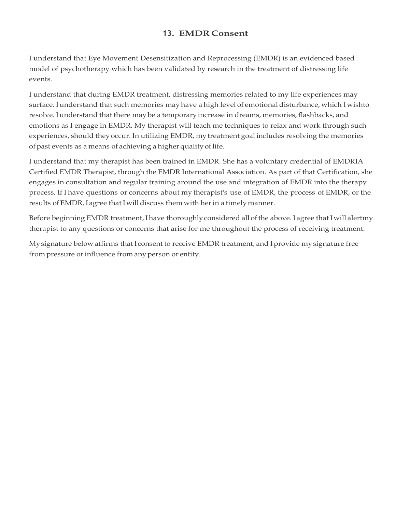#### **13. EMDR Consent**

I understand that Eye Movement Desensitization and Reprocessing (EMDR) is an evidenced based model of psychotherapy which has been validated by research in the treatment of distressing life events.

I understand that during EMDR treatment, distressing memories related to my life experiences may surface. I understand that such memories may have a high level of emotional disturbance, which I wishto resolve. I understand that there may be a temporary increase in dreams, memories, flashbacks, and emotions as I engage in EMDR. My therapist will teach me techniques to relax and work through such experiences, should they occur. In utilizing EMDR, my treatment goal includes resolving the memories of past events as a means of achieving a higher quality of life.

I understand that my therapist has been trained in EMDR. She has a voluntary credential of EMDRIA Certified EMDR Therapist, through the EMDR International Association. As part of that Certification, she engages in consultation and regular training around the use and integration of EMDR into the therapy process. If I have questions or concerns about my therapist's use of EMDR, the process of EMDR, or the results of EMDR, I agree that I will discuss them with her in a timely manner.

Before beginning EMDR treatment, I have thoroughly considered all ofthe above. I agree that I will alertmy therapist to any questions or concerns that arise for me throughout the process of receiving treatment.

My signature below affirms that I consent to receive EMDR treatment, and I provide mysignature free from pressure or influence from any person or entity.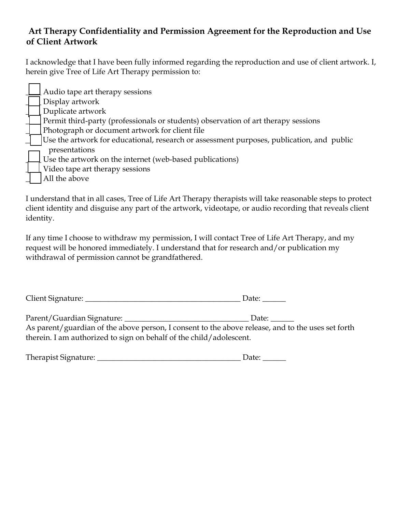### **Art Therapy Confidentiality and Permission Agreement for the Reproduction and Use of Client Artwork**

I acknowledge that I have been fully informed regarding the reproduction and use of client artwork. I, herein give Tree of Life Art Therapy permission to:

|  | Audio tape art therapy sessions                                                           |
|--|-------------------------------------------------------------------------------------------|
|  | Display artwork                                                                           |
|  | Duplicate artwork                                                                         |
|  | Permit third-party (professionals or students) observation of art therapy sessions        |
|  | Photograph or document artwork for client file                                            |
|  | Use the artwork for educational, research or assessment purposes, publication, and public |
|  | presentations                                                                             |
|  | I Use the artwork on the internet (web-based publications)                                |
|  | Video tape art therapy sessions                                                           |
|  | All the above                                                                             |
|  |                                                                                           |

I understand that in all cases, Tree of Life Art Therapy therapists will take reasonable steps to protect client identity and disguise any part of the artwork, videotape, or audio recording that reveals client identity.

If any time I choose to withdraw my permission, I will contact Tree of Life Art Therapy, and my request will be honored immediately. I understand that for research and/or publication my withdrawal of permission cannot be grandfathered.

Client Signature: \_\_\_\_\_\_\_\_\_\_\_\_\_\_\_\_\_\_\_\_\_\_\_\_\_\_\_\_\_\_\_\_\_\_\_\_\_\_\_\_ Date: \_\_\_\_\_\_

Parent/Guardian Signature: \_\_\_\_\_\_\_\_\_\_\_\_\_\_\_\_\_\_\_\_\_\_\_\_\_\_\_\_\_\_\_\_ Date: \_\_\_\_\_\_ As parent/guardian of the above person, I consent to the above release, and to the uses set forth therein. I am authorized to sign on behalf of the child/adolescent.

| Therapist Signature: | Date: |
|----------------------|-------|
|----------------------|-------|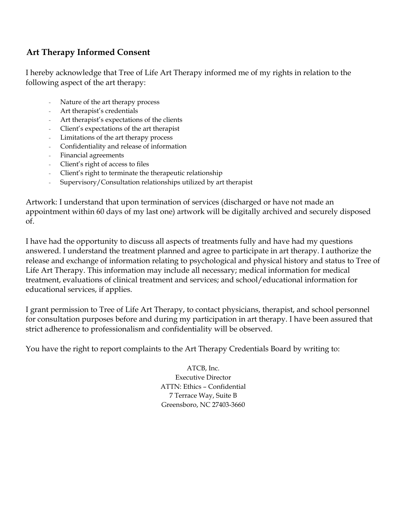## **Art Therapy Informed Consent**

I hereby acknowledge that Tree of Life Art Therapy informed me of my rights in relation to the following aspect of the art therapy:

- Nature of the art therapy process
- Art therapist's credentials
- Art therapist's expectations of the clients
- Client's expectations of the art therapist
- Limitations of the art therapy process
- Confidentiality and release of information
- Financial agreements
- Client's right of access to files
- Client's right to terminate the therapeutic relationship
- Supervisory/Consultation relationships utilized by art therapist

Artwork: I understand that upon termination of services (discharged or have not made an appointment within 60 days of my last one) artwork will be digitally archived and securely disposed of.

I have had the opportunity to discuss all aspects of treatments fully and have had my questions answered. I understand the treatment planned and agree to participate in art therapy. I authorize the release and exchange of information relating to psychological and physical history and status to Tree of Life Art Therapy. This information may include all necessary; medical information for medical treatment, evaluations of clinical treatment and services; and school/educational information for educational services, if applies.

I grant permission to Tree of Life Art Therapy, to contact physicians, therapist, and school personnel for consultation purposes before and during my participation in art therapy. I have been assured that strict adherence to professionalism and confidentiality will be observed.

You have the right to report complaints to the Art Therapy Credentials Board by writing to:

ATCB, Inc. Executive Director ATTN: Ethics – Confidential 7 Terrace Way, Suite B Greensboro, NC 27403-3660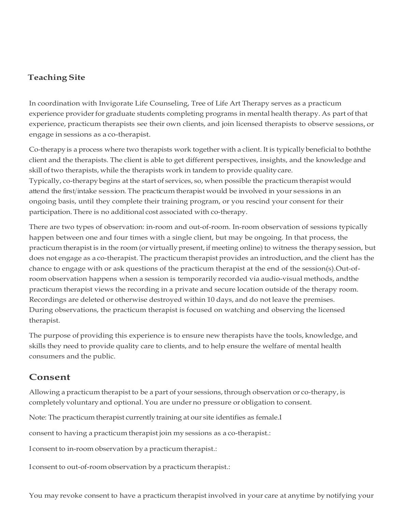#### **Teaching Site**

In coordination with Invigorate Life Counseling, Tree of Life Art Therapy serves as a practicum experience provider for graduate students completing programs in mental health therapy. As part ofthat experience, practicum therapists see their own clients, and join licensed therapists to observe sessions, or engage in sessions as a co-therapist.

Co-therapyis a process where two therapists work together with a client. It is typicallybeneficialto boththe client and the therapists. The client is able to get different perspectives, insights, and the knowledge and skill oftwo therapists, while the therapists work in tandem to provide qualitycare. Typically, co-therapy begins at the start of services, so, when possible the practicum therapist would attend the first/intake session. The practicum therapist would be involved in your sessions in an ongoing basis, until they complete their training program, or you rescind your consent for their participation. There is no additional cost associated with co-therapy.

There are two types of observation: in-room and out-of-room. In-room observation of sessions typically happen between one and four times with a single client, but may be ongoing. In that process, the practicum therapist is in the room (or virtually present, if meeting online) to witness the therapy session, but does not engage as a co-therapist. The practicum therapist provides an introduction, and the client has the chance to engage with or ask questions of the practicum therapist at the end of the session(s).Out-ofroom observation happens when a session is temporarily recorded via audio-visual methods, andthe practicum therapist views the recording in a private and secure location outside of the therapy room. Recordings are deleted or otherwise destroyed within 10 days, and do not leave the premises. During observations, the practicum therapist is focused on watching and observing the licensed therapist.

The purpose of providing this experience is to ensure new therapists have the tools, knowledge, and skills they need to provide quality care to clients, and to help ensure the welfare of mental health consumers and the public.

#### **Consent**

Allowing a practicum therapist to be a part of your sessions, through observation or co-therapy, is completelyvoluntaryand optional. You are under no pressure or obligation to consent.

Note: The practicum therapist currently training at our site identifies as female. I

consent to having a practicum therapist join mysessions as a co-therapist.:

I consent to in-room observation by a practicum therapist.:

I consent to out-of-room observation by a practicum therapist.:

You may revoke consent to have a practicum therapist involved in your care at anytime by notifying your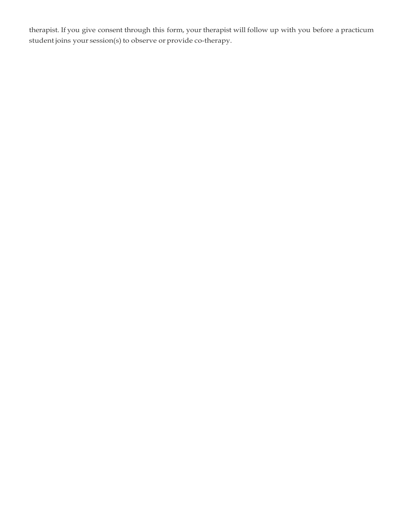therapist. If you give consent through this form, your therapist will follow up with you before a practicum student joins your session(s) to observe or provide co-therapy.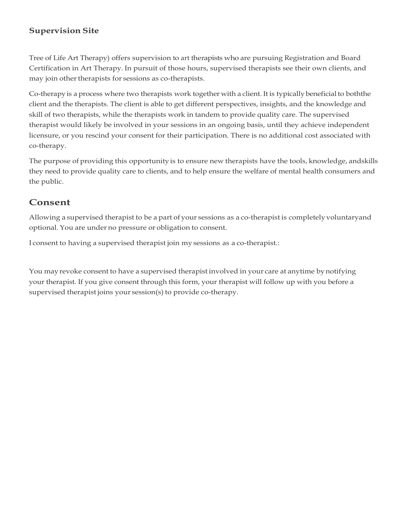### **Supervision Site**

Tree of Life Art Therapy) offers supervision to art therapists who are pursuing Registration and Board Certification in Art Therapy. In pursuit of those hours, supervised therapists see their own clients, and may join other therapists for sessions as co-therapists.

Co-therapyis a process where two therapists work together with a client. It is typicallybeneficialto boththe client and the therapists. The client is able to get different perspectives, insights, and the knowledge and skill of two therapists, while the therapists work in tandem to provide quality care. The supervised therapist would likely be involved in your sessions in an ongoing basis, until they achieve independent licensure, or you rescind your consent for their participation. There is no additional cost associated with co-therapy.

The purpose of providing this opportunityis to ensure new therapists have the tools, knowledge, andskills they need to provide quality care to clients, and to help ensure the welfare of mental health consumers and the public.

### **Consent**

Allowing a supervised therapist to be a part of your sessions as a co-therapist is completelyvoluntaryand optional. You are under no pressure or obligation to consent.

I consent to having a supervised therapist join my sessions as a co-therapist.:

You mayrevoke consent to have a supervised therapist involved in your care at anytime bynotifying your therapist. If you give consent through this form, your therapist will follow up with you before a supervised therapist joins your session(s) to provide co-therapy.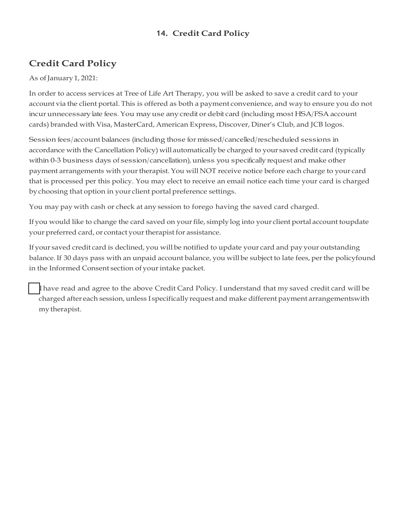### **14. Credit Card Policy**

## **Credit Card Policy**

#### As of January 1, 2021:

In order to access services at Tree of Life Art Therapy, you will be asked to save a credit card to your account via the client portal. This is offered as both a payment convenience, and wayto ensure you do not incur unnecessarylate fees. You mayuse anycredit or debit card (including most HSA/FSA account cards) branded with Visa, MasterCard, American Express, Discover, Diner's Club, and JCB logos.

Session fees/account balances (including those for missed/cancelled/rescheduled sessions in accordance with the Cancellation Policy) will automaticallybe charged to your saved credit card (typically within 0-3 business days of session/cancellation), unless you specifically request and make other payment arrangements with your therapist. You will NOT receive notice before each charge to your card that is processed per this policy. You may elect to receive an email notice each time your card is charged bychoosing that option in your client portal preference settings.

You may pay with cash or check at any session to forego having the saved card charged.

If you would like to change the card saved on your file, simply log into your client portal account toupdate your preferred card, or contact your therapist for assistance.

Ifyour saved credit card is declined, you will be notified to update your card and pay your outstanding balance.If 30 days pass with an unpaid account balance, you will be subject to late fees, perthe policyfound in the Informed Consent section of yourintake packet.

 I have read and agree to the above Credit Card Policy. I understand that my saved credit card will be charged after each session, unless I specificallyrequest and make different payment arrangementswith mytherapist.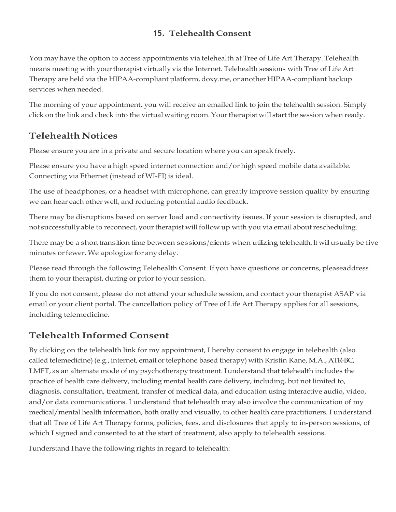### **15. Telehealth Consent**

You may have the option to access appointments via telehealth at Tree of Life Art Therapy. Telehealth means meeting with your therapist virtually via the Internet. Telehealth sessions with Tree of Life Art Therapy are held via the HIPAA-compliant platform, doxy.me, or another HIPAA-compliant backup services when needed.

The morning of your appointment, you will receive an emailed link to join the telehealth session. Simply click on the link and check into the virtual waiting room. Yourtherapist will start the session when ready.

## **Telehealth Notices**

Please ensure you are in a private and secure location where you can speak freely.

Please ensure you have a high speed internet connection and/or high speed mobile data available. Connecting via Ethernet (instead ofWI-FI) is ideal.

The use of headphones, or a headset with microphone, can greatly improve session quality by ensuring we can hear each other well, and reducing potential audio feedback.

There may be disruptions based on server load and connectivity issues. If your session is disrupted, and not successfully able to reconnect, your therapist will follow up with you via email about rescheduling.

There may be a short transition time between sessions/clients when utilizing telehealth. It will usually be five minutes or fewer. We apologize for any delay.

Please read through the following Telehealth Consent. If you have questions or concerns, pleaseaddress them to your therapist, during or prior to your session.

If you do not consent, please do not attend your schedule session, and contact yourtherapist ASAP via email or your client portal. The cancellation policy of Tree of Life Art Therapy applies for all sessions, including telemedicine.

## **Telehealth Informed Consent**

By clicking on the telehealth link for my appointment, I hereby consent to engage in telehealth (also called telemedicine) (e.g., internet, email or telephone based therapy) with Kristin Kane, M.A., ATR-BC, LMFT, as an alternate mode of my psychotherapy treatment. I understand that telehealth includes the practice of health care delivery, including mental health care delivery, including, but not limited to, diagnosis, consultation, treatment, transfer of medical data, and education using interactive audio, video, and/or data communications. I understand that telehealth may also involve the communication of my medical/mental health information, both orally and visually, to other health care practitioners. I understand that all Tree of Life Art Therapy forms, policies, fees, and disclosures that apply to in-person sessions, of which I signed and consented to at the start of treatment, also apply to telehealth sessions.

I understand I have the following rights in regard to telehealth: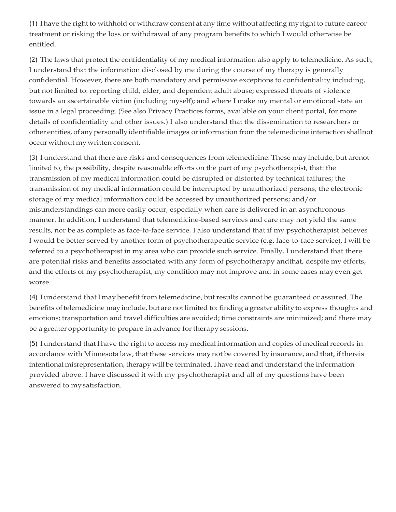(1) I have the right to withhold or withdraw consent at anytime without affecting myright to future careor treatment or risking the loss or withdrawal of any program benefits to which I would otherwise be entitled.

(2) The laws that protect the confidentiality of my medical information also apply to telemedicine. As such, I understand that the information disclosed by me during the course of my therapy is generally confidential. However, there are both mandatory and permissive exceptions to confidentiality including, but not limited to: reporting child, elder, and dependent adult abuse; expressed threats of violence towards an ascertainable victim (including myself); and where I make my mental or emotional state an issue in a legal proceeding. (See also Privacy Practices forms, available on your client portal, for more details of confidentiality and other issues.) I also understand that the dissemination to researchers or other entities, of anypersonallyidentifiable images orinformation from the telemedicine interaction shallnot occur without mywritten consent.

(3) I understand that there are risks and consequences from telemedicine. These may include, but arenot limited to, the possibility, despite reasonable efforts on the part of my psychotherapist, that: the transmission of my medical information could be disrupted or distorted by technical failures; the transmission of my medical information could be interrupted by unauthorized persons; the electronic storage of my medical information could be accessed by unauthorized persons; and/or misunderstandings can more easily occur, especially when care is delivered in an asynchronous manner. In addition, I understand that telemedicine-based services and care may not yield the same results, nor be as complete as face-to-face service. I also understand that if my psychotherapist believes I would be better served by another form of psychotherapeutic service (e.g. face-to-face service), I will be referred to a psychotherapist in my area who can provide such service. Finally, I understand that there are potential risks and benefits associated with any form of psychotherapy andthat, despite my efforts, and the efforts of my psychotherapist, my condition may not improve and in some cases mayeven get worse.

(4) I understand that I may benefit from telemedicine, butresults cannot be guaranteed or assured. The benefits of telemedicine may include, but are not limited to: finding a greater ability to express thoughts and emotions; transportation and travel difficulties are avoided; time constraints are minimized; and there may be a greater opportunity to prepare in advance for therapy sessions.

(5) I understand that I have the right to access mymedical information and copies of medicalrecords in accordance with Minnesota law, that these services maynot be covered byinsurance, and that, ifthereis intentional misrepresentation, therapy will be terminated. I have read and understand the information provided above. I have discussed it with my psychotherapist and all of my questions have been answered to mysatisfaction.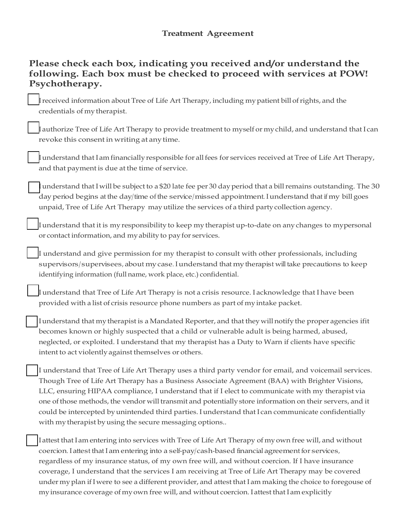| Please check each box, indicating you received and/or understand the |
|----------------------------------------------------------------------|
| following. Each box must be checked to proceed with services at POW! |
| Psychotherapy.                                                       |
|                                                                      |

 I received information about Tree of Life Art Therapy, including mypatient bill of rights, and the credentials of mytherapist.

authorize Tree of Life Art Therapy to provide treatment to myself or my child, and understand that I can revoke this consent in writing at anytime.

I understand that I am financially responsible for all fees for services received at Tree of Life Art Therapy, and that payment is due at the time of service.

I understand that I will be subject to a \$20 late fee per 30 day period that a bill remains outstanding. The 30 dayperiod begins at the day/time of the service/missed appointment. Iunderstand that if my bill goes unpaid, Tree of Life Art Therapy mayutilize the services of a third partycollection agency.

 I understand that it is myresponsibility to keep mytherapist up-to-date on any changes to mypersonal or contact information, and myabilityto payfor services.

 I understand and give permission for my therapist to consult with other professionals, including supervisors/supervisees, about mycase. Iunderstand that mytherapist will take precautions to keep identifying information (full name, work place, etc.) confidential.

 I understand that Tree of Life Art Therapy is not a crisis resource. I acknowledge that I have been provided with a list of crisis resource phone numbers as part of myintake packet.

 I understand that mytherapist is a Mandated Reporter, and that theywill notifythe proper agencies ifit becomes known or highly suspected that a child or vulnerable adult is being harmed, abused, neglected, or exploited. I understand that my therapist has a Duty to Warn if clients have specific intent to act violentlyagainst themselves or others.

 I understand that Tree of Life Art Therapy uses a third party vendor for email, and voicemail services. Though Tree of Life Art Therapy has a Business Associate Agreement (BAA) with Brighter Visions, LLC, ensuring HIPAA compliance, I understand that if I elect to communicate with my therapist via one of those methods, the vendor will transmit and potentially store information on their servers, and it could be intercepted by unintended third parties. I understand that I can communicate confidentially with my therapist by using the secure messaging options..

I attest that I am entering into services with Tree of Life Art Therapy of my own free will, and without coercion. I attest that I am entering into a self-pay/cash-based financial agreement for services, regardless of my insurance status, of my own free will, and without coercion. If I have insurance coverage, I understand that the services I am receiving at Tree of Life Art Therapy may be covered under myplan if I were to see a different provider, and attest that I am making the choice to foregouse of myinsurance coverage ofmyown free will, and without coercion. I attest that I am explicitly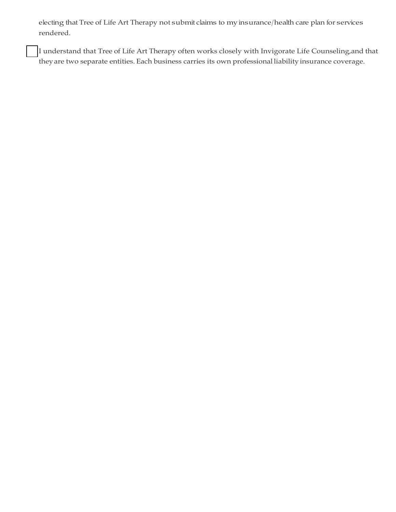electing that Tree of Life Art Therapy not submit claims to myinsurance/health care plan for services rendered.

 I understand that Tree of Life Art Therapy often works closely with Invigorate Life Counseling, and that theyare two separate entities. Each business carries its own professional liability insurance coverage.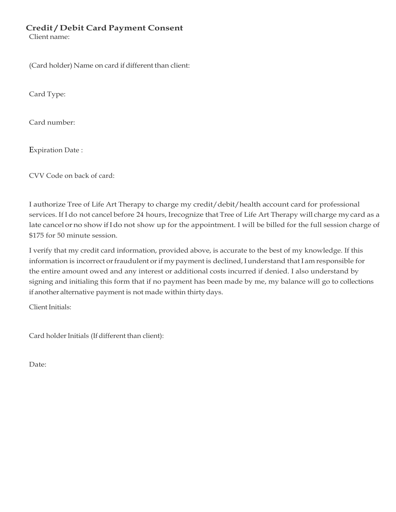#### **Credit / Debit Card Payment Consent**

Client name:

(Card holder) Name on card if different than client:

Card Type:

Card number:

Expiration Date :

CVV Code on back of card:

I authorize Tree of Life Art Therapy to charge my credit/debit/health account card for professional services. If I do not cancel before 24 hours, Irecognize that Tree of Life Art Therapy will charge my card as a late cancel or no show if I do not show up for the appointment. I will be billed for the full session charge of \$175 for 50 minute session.

I verify that my credit card information, provided above, is accurate to the best of my knowledge. If this information is incorrect or fraudulent or if my payment is declined, I understand that I am responsible for the entire amount owed and any interest or additional costs incurred if denied. I also understand by signing and initialing this form that if no payment has been made by me, my balance will go to collections if another alternative payment is not made within thirty days.

Client Initials:

Card holder Initials (If different than client):

Date: